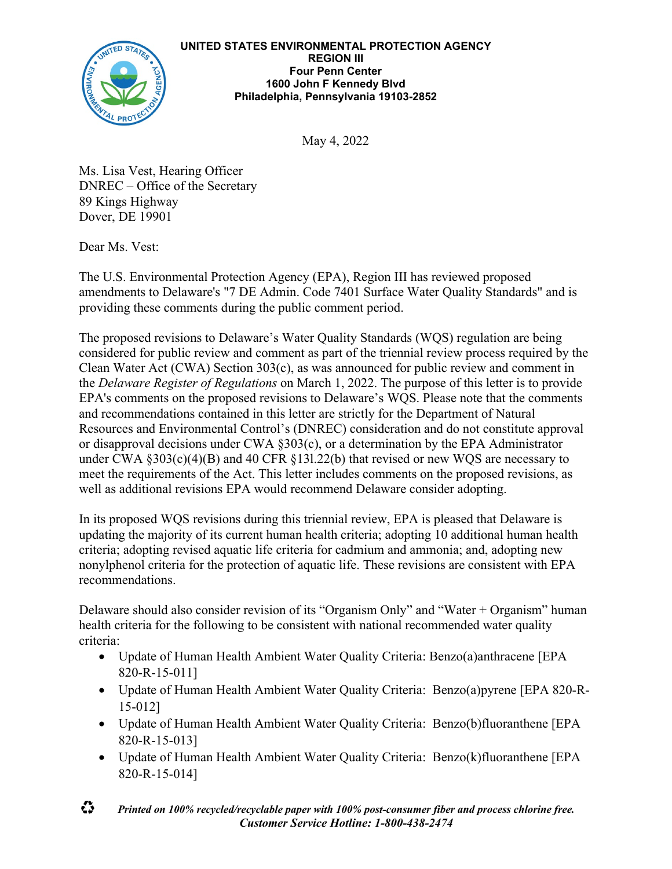

May 4, 2022

Ms. Lisa Vest, Hearing Officer DNREC – Office of the Secretary 89 Kings Highway Dover, DE 19901

Dear Ms. Vest:

The U.S. Environmental Protection Agency (EPA), Region III has reviewed proposed amendments to Delaware's "7 DE Admin. Code 7401 Surface Water Quality Standards" and is providing these comments during the public comment period.

The proposed revisions to Delaware's Water Quality Standards (WQS) regulation are being considered for public review and comment as part of the triennial review process required by the Clean Water Act (CWA) Section 303(c), as was announced for public review and comment in the *Delaware Register of Regulations* on March 1, 2022. The purpose of this letter is to provide EPA's comments on the proposed revisions to Delaware's WQS. Please note that the comments and recommendations contained in this letter are strictly for the Department of Natural Resources and Environmental Control's (DNREC) consideration and do not constitute approval or disapproval decisions under CWA §303(c), or a determination by the EPA Administrator under CWA §303(c)(4)(B) and 40 CFR §13l.22(b) that revised or new WQS are necessary to meet the requirements of the Act. This letter includes comments on the proposed revisions, as well as additional revisions EPA would recommend Delaware consider adopting.

In its proposed WQS revisions during this triennial review, EPA is pleased that Delaware is updating the majority of its current human health criteria; adopting 10 additional human health criteria; adopting revised aquatic life criteria for cadmium and ammonia; and, adopting new nonylphenol criteria for the protection of aquatic life. These revisions are consistent with EPA recommendations.

Delaware should also consider revision of its "Organism Only" and "Water + Organism" human health criteria for the following to be consistent with national recommended water quality criteria:

- Update of Human Health Ambient Water Quality Criteria: Benzo(a)anthracene [EPA 820-R-15-011]
- Update of Human Health Ambient Water Quality Criteria: Benzo(a)pyrene [EPA 820-R-15-012]
- Update of Human Health Ambient Water Quality Criteria: Benzo(b)fluoranthene [EPA 820-R-15-013]
- Update of Human Health Ambient Water Quality Criteria: Benzo(k)fluoranthene [EPA 820-R-15-014]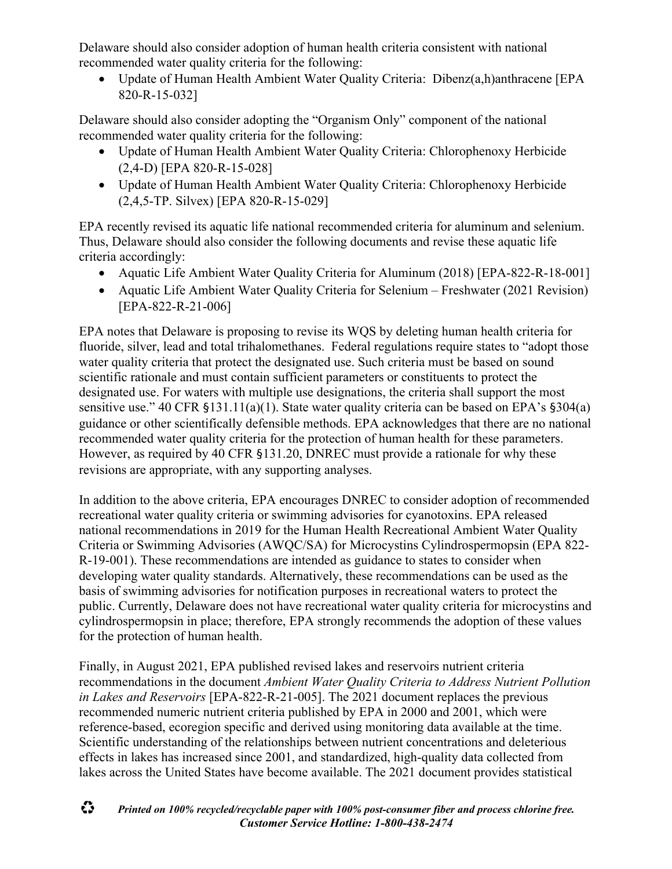Delaware should also consider adoption of human health criteria consistent with national recommended water quality criteria for the following:

• Update of Human Health Ambient Water Quality Criteria: Dibenz(a,h)anthracene [EPA 820-R-15-032]

Delaware should also consider adopting the "Organism Only" component of the national recommended water quality criteria for the following:

- Update of Human Health Ambient Water Quality Criteria: Chlorophenoxy Herbicide (2,4-D) [EPA 820-R-15-028]
- Update of Human Health Ambient Water Quality Criteria: Chlorophenoxy Herbicide (2,4,5-TP. Silvex) [EPA 820-R-15-029]

EPA recently revised its aquatic life national recommended criteria for aluminum and selenium. Thus, Delaware should also consider the following documents and revise these aquatic life criteria accordingly:

- Aquatic Life Ambient Water Quality Criteria for Aluminum (2018) [EPA-822-R-18-001]
- Aquatic Life Ambient Water Quality Criteria for Selenium Freshwater (2021 Revision) [EPA-822-R-21-006]

EPA notes that Delaware is proposing to revise its WQS by deleting human health criteria for fluoride, silver, lead and total trihalomethanes. Federal regulations require states to "adopt those water quality criteria that protect the designated use. Such criteria must be based on sound scientific rationale and must contain sufficient parameters or constituents to protect the designated use. For waters with multiple use designations, the criteria shall support the most sensitive use." 40 CFR §131.11(a)(1). State water quality criteria can be based on EPA's §304(a) guidance or other scientifically defensible methods. EPA acknowledges that there are no national recommended water quality criteria for the protection of human health for these parameters. However, as required by 40 CFR §131.20, DNREC must provide a rationale for why these revisions are appropriate, with any supporting analyses.

In addition to the above criteria, EPA encourages DNREC to consider adoption of recommended recreational water quality criteria or swimming advisories for cyanotoxins. EPA released national recommendations in 2019 for the Human Health Recreational Ambient Water Quality Criteria or Swimming Advisories (AWQC/SA) for Microcystins Cylindrospermopsin (EPA 822- R-19-001). These recommendations are intended as guidance to states to consider when developing water quality standards. Alternatively, these recommendations can be used as the basis of swimming advisories for notification purposes in recreational waters to protect the public. Currently, Delaware does not have recreational water quality criteria for microcystins and cylindrospermopsin in place; therefore, EPA strongly recommends the adoption of these values for the protection of human health.

Finally, in August 2021, EPA published revised lakes and reservoirs nutrient criteria recommendations in the document *Ambient Water Quality Criteria to Address Nutrient Pollution in Lakes and Reservoirs* [EPA-822-R-21-005]. The 2021 document replaces the previous recommended numeric nutrient criteria published by EPA in 2000 and 2001, which were reference-based, ecoregion specific and derived using monitoring data available at the time. Scientific understanding of the relationships between nutrient concentrations and deleterious effects in lakes has increased since 2001, and standardized, high-quality data collected from lakes across the United States have become available. The 2021 document provides statistical

## ۞ *Printed on 100% recycled/recyclable paper with 100% post-consumer fiber and process chlorine free. Customer Service Hotline: 1-800-438-2474*